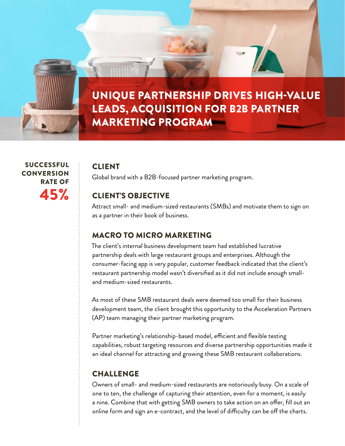

 SUCCESSFUL **CONVERSION** RATE OF 45%

#### CLIENT

Global brand with a B2B-focused partner marketing program.

### CLIENT'S OBJECTIVE

Attract small- and medium-sized restaurants (SMBs) and motivate them to sign on as a partner in their book of business.

## MACRO TO MICRO MARKETING

The client's internal business development team had established lucrative partnership deals with large restaurant groups and enterprises. Although the consumer-facing app is very popular, customer feedback indicated that the client's restaurant partnership model wasn't diversified as it did not include enough smalland medium-sized restaurants.

As most of these SMB restaurant deals were deemed too small for their business development team, the client brought this opportunity to the Acceleration Partners (AP) team managing their partner marketing program.

Partner marketing's relationship-based model, efficient and flexible testing capabilities, robust targeting resources and diverse partnership opportunities made it an ideal channel for attracting and growing these SMB restaurant collaborations.

## **CHALLENGE**

Owners of small- and medium-sized restaurants are notoriously busy. On a scale of one to ten, the challenge of capturing their attention, even for a moment, is easily a nine. Combine that with getting SMB owners to take action on an offer, fill out an online form and sign an e-contract, and the level of difficulty can be off the charts.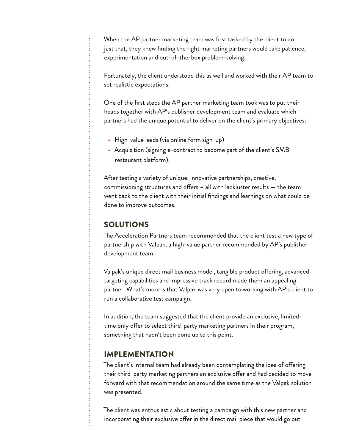When the AP partner marketing team was first tasked by the client to do just that, they knew finding the right marketing partners would take patience, experimentation and out-of-the-box problem-solving.

Fortunately, the client understood this as well and worked with their AP team to set realistic expectations.

One of the first steps the AP partner marketing team took was to put their heads together with AP's publisher development team and evaluate which partners had the unique potential to deliver on the client's primary objectives:

- High-value leads (via online form sign-up)
- Acquisition (signing e-contract to become part of the client's SMB restaurant platform).

After testing a variety of unique, innovative partnerships, creative, commissioning structures and offers – all with lackluster results — the team went back to the client with their initial findings and learnings on what could be done to improve outcomes.

# SOLUTIONS

The Acceleration Partners team recommended that the client test a new type of partnership with Valpak, a high-value partner recommended by AP's publisher development team.

Valpak's unique direct mail business model, tangible product offering, advanced targeting capabilities and impressive track record made them an appealing partner. What's more is that Valpak was very open to working with AP's client to run a collaborative test campaign.

In addition, the team suggested that the client provide an exclusive, limitedtime only offer to select third-party marketing partners in their program, something that hadn't been done up to this point.

#### IMPLEMENTATION

The client's internal team had already been contemplating the idea of offering their third-party marketing partners an exclusive offer and had decided to move forward with that recommendation around the same time as the Valpak solution was presented.

The client was enthusiastic about testing a campaign with this new partner and incorporating their exclusive offer in the direct mail piece that would go out